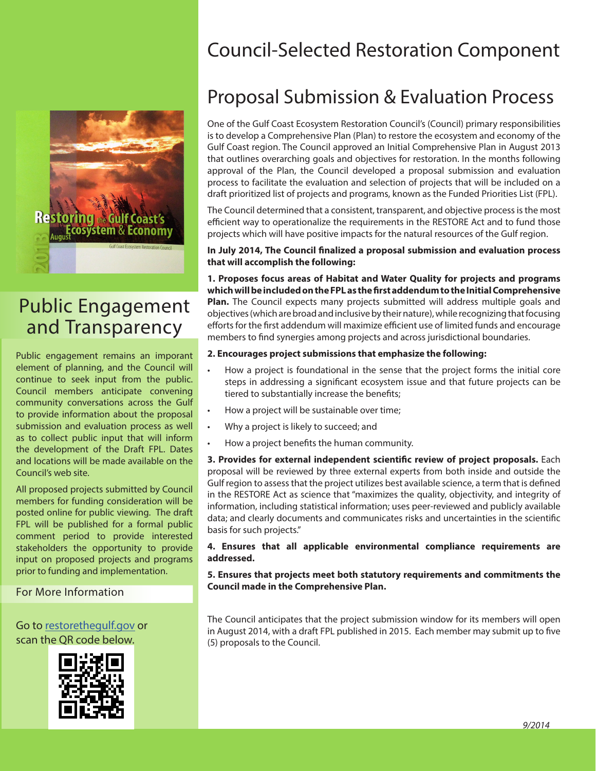

# Public Engagement and Transparency

Public engagement remains an imporant element of planning, and the Council will continue to seek input from the public. Council members anticipate convening community conversations across the Gulf to provide information about the proposal submission and evaluation process as well as to collect public input that will inform the development of the Draft FPL. Dates and locations will be made available on the Council's web site.

All proposed projects submitted by Council members for funding consideration will be posted online for public viewing. The draft FPL will be published for a formal public comment period to provide interested stakeholders the opportunity to provide input on proposed projects and programs prior to funding and implementation.

### For More Information

Go to restorethegulf.gov or scan the QR code below.



# Council-Selected Restoration Component

# Proposal Submission & Evaluation Process

One of the Gulf Coast Ecosystem Restoration Council's (Council) primary responsibilities is to develop a Comprehensive Plan (Plan) to restore the ecosystem and economy of the Gulf Coast region. The Council approved an Initial Comprehensive Plan in August 2013 that outlines overarching goals and objectives for restoration. In the months following approval of the Plan, the Council developed a proposal submission and evaluation process to facilitate the evaluation and selection of projects that will be included on a draft prioritized list of projects and programs, known as the Funded Priorities List (FPL).

The Council determined that a consistent, transparent, and objective process is the most efficient way to operationalize the requirements in the RESTORE Act and to fund those projects which will have positive impacts for the natural resources of the Gulf region.

#### **In July 2014, The Council finalized a proposal submission and evaluation process that will accomplish the following:**

**1. Proposes focus areas of Habitat and Water Quality for projects and programs which will be included on the FPL as the first addendum to the Initial Comprehensive Plan.** The Council expects many projects submitted will address multiple goals and objectives (which are broad and inclusive by their nature), while recognizing that focusing efforts for the first addendum will maximize efficient use of limited funds and encourage members to find synergies among projects and across jurisdictional boundaries.

### **2. Encourages project submissions that emphasize the following:**

- How a project is foundational in the sense that the project forms the initial core steps in addressing a significant ecosystem issue and that future projects can be tiered to substantially increase the benefits;
- How a project will be sustainable over time;
- Why a project is likely to succeed; and
- How a project benefits the human community.

**3. Provides for external independent scientific review of project proposals.** Each proposal will be reviewed by three external experts from both inside and outside the Gulf region to assess that the project utilizes best available science, a term that is defined in the RESTORE Act as science that "maximizes the quality, objectivity, and integrity of information, including statistical information; uses peer-reviewed and publicly available data; and clearly documents and communicates risks and uncertainties in the scientific basis for such projects."

#### **4. Ensures that all applicable environmental compliance requirements are addressed.**

#### **5. Ensures that projects meet both statutory requirements and commitments the Council made in the Comprehensive Plan.**

The Council anticipates that the project submission window for its members will open in August 2014, with a draft FPL published in 2015. Each member may submit up to five (5) proposals to the Council.